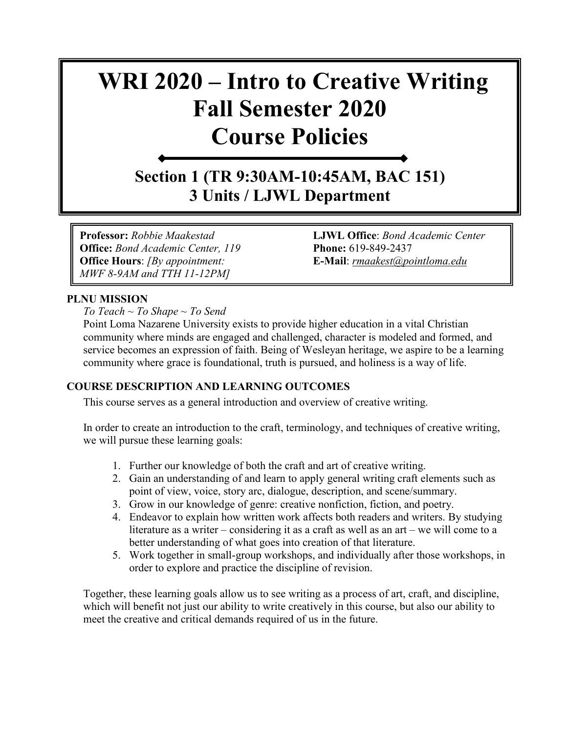# **WRI 2020 – Intro to Creative Writing Fall Semester 2020 Course Policies**

**Section 1 (TR 9:30AM-10:45AM, BAC 151) 3 Units / LJWL Department**

**Office:** *Bond Academic Center, 119* **Phone:** 619-849-2437 **Office Hours**: *[By appointment:* **E-Mail**: *[rmaakest@pointloma.edu](mailto:rmaakest@pointloma.edu) MWF 8-9AM and TTH 11-12PM]*

**Professor:** *Robbie Maakestad* **LJWL Office**: *Bond Academic Center* 

## **PLNU MISSION**

*To Teach ~ To Shape ~ To Send* 

Point Loma Nazarene University exists to provide higher education in a vital Christian community where minds are engaged and challenged, character is modeled and formed, and service becomes an expression of faith. Being of Wesleyan heritage, we aspire to be a learning community where grace is foundational, truth is pursued, and holiness is a way of life.

## **COURSE DESCRIPTION AND LEARNING OUTCOMES**

This course serves as a general introduction and overview of creative writing.

In order to create an introduction to the craft, terminology, and techniques of creative writing, we will pursue these learning goals:

- 1. Further our knowledge of both the craft and art of creative writing.
- 2. Gain an understanding of and learn to apply general writing craft elements such as point of view, voice, story arc, dialogue, description, and scene/summary.
- 3. Grow in our knowledge of genre: creative nonfiction, fiction, and poetry.
- 4. Endeavor to explain how written work affects both readers and writers. By studying literature as a writer – considering it as a craft as well as an art – we will come to a better understanding of what goes into creation of that literature.
- 5. Work together in small-group workshops, and individually after those workshops, in order to explore and practice the discipline of revision.

Together, these learning goals allow us to see writing as a process of art, craft, and discipline, which will benefit not just our ability to write creatively in this course, but also our ability to meet the creative and critical demands required of us in the future.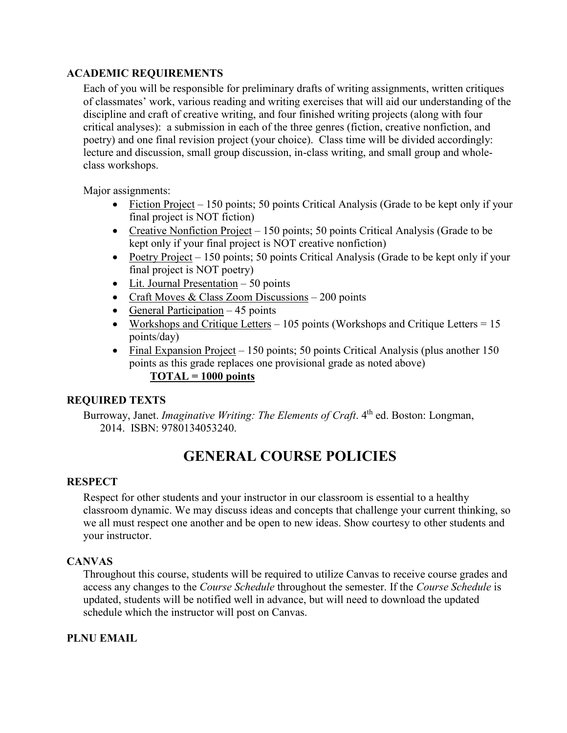## **ACADEMIC REQUIREMENTS**

Each of you will be responsible for preliminary drafts of writing assignments, written critiques of classmates' work, various reading and writing exercises that will aid our understanding of the discipline and craft of creative writing, and four finished writing projects (along with four critical analyses): a submission in each of the three genres (fiction, creative nonfiction, and poetry) and one final revision project (your choice). Class time will be divided accordingly: lecture and discussion, small group discussion, in-class writing, and small group and wholeclass workshops.

Major assignments:

- Fiction Project 150 points; 50 points Critical Analysis (Grade to be kept only if your final project is NOT fiction)
- Creative Nonfiction Project 150 points; 50 points Critical Analysis (Grade to be kept only if your final project is NOT creative nonfiction)
- Poetry Project 150 points; 50 points Critical Analysis (Grade to be kept only if your final project is NOT poetry)
- Lit. Journal Presentation 50 points
- Craft Moves & Class Zoom Discussions 200 points
- General Participation  $-45$  points
- Workshops and Critique Letters 105 points (Workshops and Critique Letters =  $15$ ) points/day)
- Final Expansion Project 150 points; 50 points Critical Analysis (plus another 150 points as this grade replaces one provisional grade as noted above) **TOTAL = 1000 points**

## **REQUIRED TEXTS**

Burroway, Janet. *Imaginative Writing: The Elements of Craft*. 4<sup>th</sup> ed. Boston: Longman, 2014. ISBN: 9780134053240.

## **GENERAL COURSE POLICIES**

## **RESPECT**

Respect for other students and your instructor in our classroom is essential to a healthy classroom dynamic. We may discuss ideas and concepts that challenge your current thinking, so we all must respect one another and be open to new ideas. Show courtesy to other students and your instructor.

## **CANVAS**

Throughout this course, students will be required to utilize Canvas to receive course grades and access any changes to the *Course Schedule* throughout the semester. If the *Course Schedule* is updated, students will be notified well in advance, but will need to download the updated schedule which the instructor will post on Canvas.

## **PLNU EMAIL**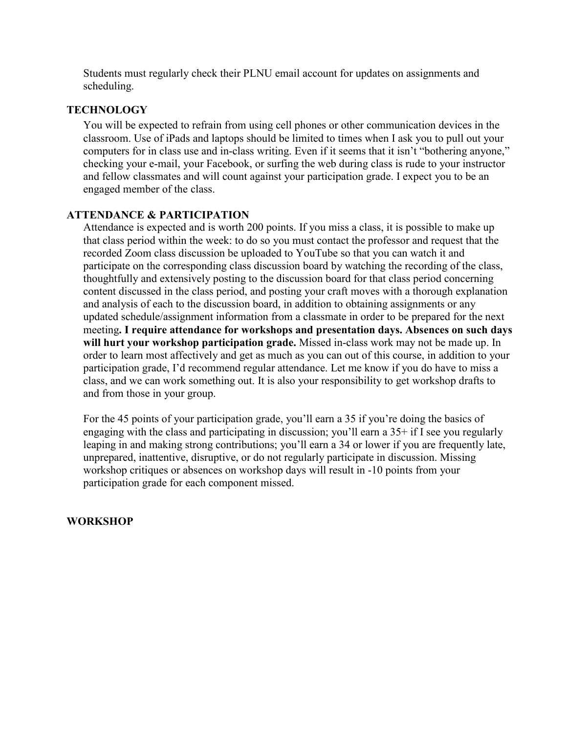Students must regularly check their PLNU email account for updates on assignments and scheduling.

## **TECHNOLOGY**

You will be expected to refrain from using cell phones or other communication devices in the classroom. Use of iPads and laptops should be limited to times when I ask you to pull out your computers for in class use and in-class writing. Even if it seems that it isn't "bothering anyone," checking your e-mail, your Facebook, or surfing the web during class is rude to your instructor and fellow classmates and will count against your participation grade. I expect you to be an engaged member of the class.

## **ATTENDANCE & PARTICIPATION**

Attendance is expected and is worth 200 points. If you miss a class, it is possible to make up that class period within the week: to do so you must contact the professor and request that the recorded Zoom class discussion be uploaded to YouTube so that you can watch it and participate on the corresponding class discussion board by watching the recording of the class, thoughtfully and extensively posting to the discussion board for that class period concerning content discussed in the class period, and posting your craft moves with a thorough explanation and analysis of each to the discussion board, in addition to obtaining assignments or any updated schedule/assignment information from a classmate in order to be prepared for the next meeting**. I require attendance for workshops and presentation days. Absences on such days will hurt your workshop participation grade.** Missed in-class work may not be made up. In order to learn most affectively and get as much as you can out of this course, in addition to your participation grade, I'd recommend regular attendance. Let me know if you do have to miss a class, and we can work something out. It is also your responsibility to get workshop drafts to and from those in your group.

For the 45 points of your participation grade, you'll earn a 35 if you're doing the basics of engaging with the class and participating in discussion; you'll earn a 35+ if I see you regularly leaping in and making strong contributions; you'll earn a 34 or lower if you are frequently late, unprepared, inattentive, disruptive, or do not regularly participate in discussion. Missing workshop critiques or absences on workshop days will result in -10 points from your participation grade for each component missed.

## **WORKSHOP**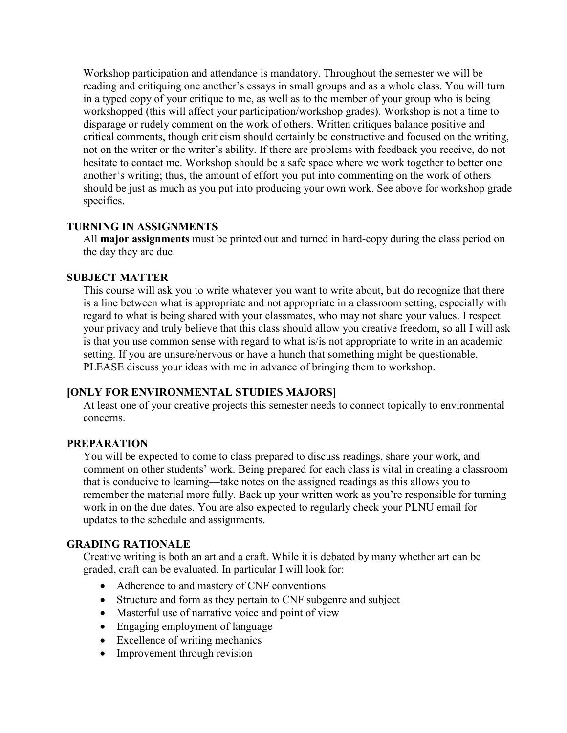Workshop participation and attendance is mandatory. Throughout the semester we will be reading and critiquing one another's essays in small groups and as a whole class. You will turn in a typed copy of your critique to me, as well as to the member of your group who is being workshopped (this will affect your participation/workshop grades). Workshop is not a time to disparage or rudely comment on the work of others. Written critiques balance positive and critical comments, though criticism should certainly be constructive and focused on the writing, not on the writer or the writer's ability. If there are problems with feedback you receive, do not hesitate to contact me. Workshop should be a safe space where we work together to better one another's writing; thus, the amount of effort you put into commenting on the work of others should be just as much as you put into producing your own work. See above for workshop grade specifics.

## **TURNING IN ASSIGNMENTS**

All **major assignments** must be printed out and turned in hard-copy during the class period on the day they are due.

## **SUBJECT MATTER**

This course will ask you to write whatever you want to write about, but do recognize that there is a line between what is appropriate and not appropriate in a classroom setting, especially with regard to what is being shared with your classmates, who may not share your values. I respect your privacy and truly believe that this class should allow you creative freedom, so all I will ask is that you use common sense with regard to what is/is not appropriate to write in an academic setting. If you are unsure/nervous or have a hunch that something might be questionable, PLEASE discuss your ideas with me in advance of bringing them to workshop.

## **[ONLY FOR ENVIRONMENTAL STUDIES MAJORS]**

At least one of your creative projects this semester needs to connect topically to environmental concerns.

## **PREPARATION**

You will be expected to come to class prepared to discuss readings, share your work, and comment on other students' work. Being prepared for each class is vital in creating a classroom that is conducive to learning—take notes on the assigned readings as this allows you to remember the material more fully. Back up your written work as you're responsible for turning work in on the due dates. You are also expected to regularly check your PLNU email for updates to the schedule and assignments.

## **GRADING RATIONALE**

Creative writing is both an art and a craft. While it is debated by many whether art can be graded, craft can be evaluated. In particular I will look for:

- Adherence to and mastery of CNF conventions
- Structure and form as they pertain to CNF subgenre and subject
- Masterful use of narrative voice and point of view
- Engaging employment of language
- Excellence of writing mechanics
- Improvement through revision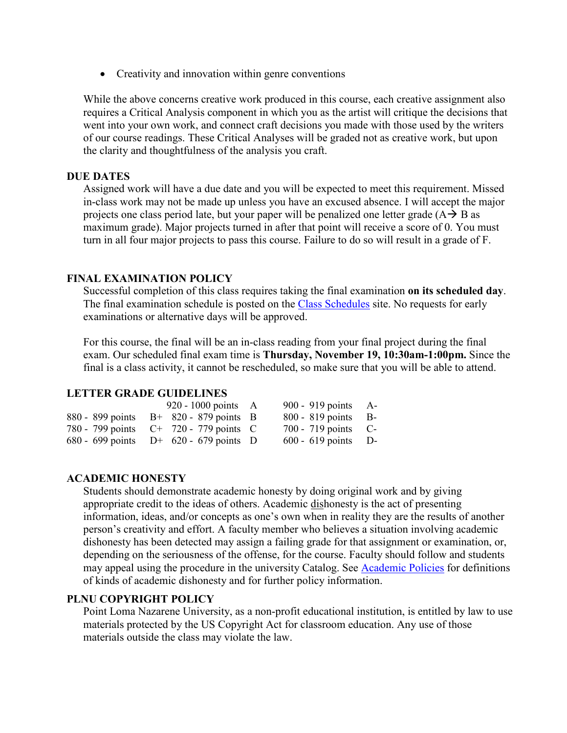• Creativity and innovation within genre conventions

While the above concerns creative work produced in this course, each creative assignment also requires a Critical Analysis component in which you as the artist will critique the decisions that went into your own work, and connect craft decisions you made with those used by the writers of our course readings. These Critical Analyses will be graded not as creative work, but upon the clarity and thoughtfulness of the analysis you craft.

#### **DUE DATES**

Assigned work will have a due date and you will be expected to meet this requirement. Missed in-class work may not be made up unless you have an excused absence. I will accept the major projects one class period late, but your paper will be penalized one letter grade  $(A \rightarrow B$  as maximum grade). Major projects turned in after that point will receive a score of 0. You must turn in all four major projects to pass this course. Failure to do so will result in a grade of F.

#### **FINAL EXAMINATION POLICY**

Successful completion of this class requires taking the final examination **on its scheduled day**. The final examination schedule is posted on the [Class Schedules](http://www.pointloma.edu/experience/academics/class-schedules) site. No requests for early examinations or alternative days will be approved.

For this course, the final will be an in-class reading from your final project during the final exam. Our scheduled final exam time is **Thursday, November 19, 10:30am-1:00pm.** Since the final is a class activity, it cannot be rescheduled, so make sure that you will be able to attend.

## **LETTER GRADE GUIDELINES**

| 920 - 1000 points $\overrightarrow{A}$   | 900 - 919 points A-   |  |
|------------------------------------------|-----------------------|--|
| 880 - 899 points $B+820-879$ points B    | $800 - 819$ points B- |  |
| 780 - 799 points C+ 720 - 779 points C   | $700 - 719$ points C- |  |
| 680 - 699 points $D+ 620 - 679$ points D | $600 - 619$ points D- |  |

## **ACADEMIC HONESTY**

Students should demonstrate academic honesty by doing original work and by giving appropriate credit to the ideas of others. Academic dishonesty is the act of presenting information, ideas, and/or concepts as one's own when in reality they are the results of another person's creativity and effort. A faculty member who believes a situation involving academic dishonesty has been detected may assign a failing grade for that assignment or examination, or, depending on the seriousness of the offense, for the course. Faculty should follow and students may appeal using the procedure in the university Catalog. See [Academic Policies](http://catalog.pointloma.edu/content.php?catoid=18&navoid=1278) for definitions of kinds of academic dishonesty and for further policy information.

#### **PLNU COPYRIGHT POLICY**

Point Loma Nazarene University, as a non-profit educational institution, is entitled by law to use materials protected by the US Copyright Act for classroom education. Any use of those materials outside the class may violate the law.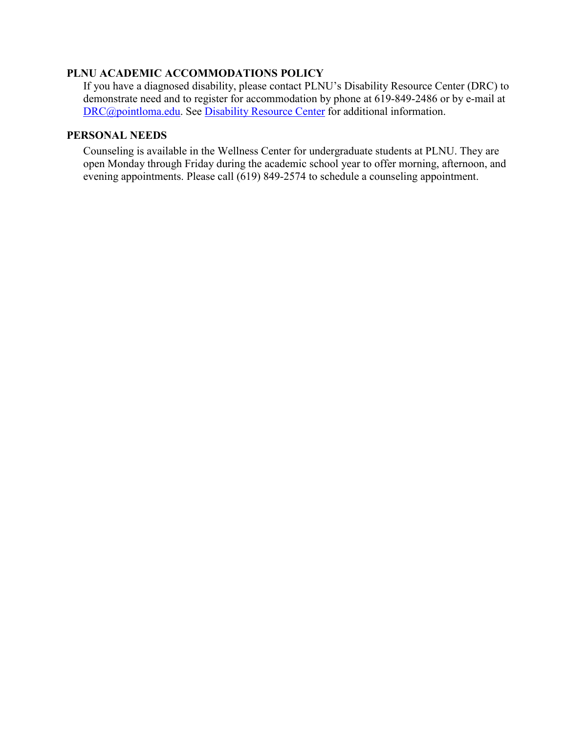## **PLNU ACADEMIC ACCOMMODATIONS POLICY**

If you have a diagnosed disability, please contact PLNU's Disability Resource Center (DRC) to demonstrate need and to register for accommodation by phone at 619-849-2486 or by e-mail at [DRC@pointloma.edu.](mailto:DRC@pointloma.edu) See [Disability Resource Center](http://www.pointloma.edu/experience/offices/administrative-offices/academic-advising-office/disability-resource-center) for additional information.

## **PERSONAL NEEDS**

Counseling is available in the Wellness Center for undergraduate students at PLNU. They are open Monday through Friday during the academic school year to offer morning, afternoon, and evening appointments. Please call (619) 849-2574 to schedule a counseling appointment.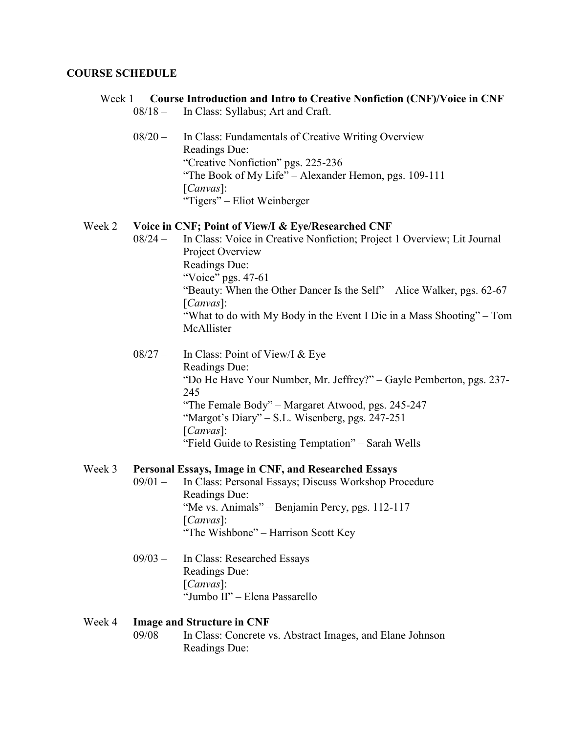#### **COURSE SCHEDULE**

#### Week 1 **Course Introduction and Intro to Creative Nonfiction (CNF)/Voice in CNF** 08/18 – In Class: Syllabus; Art and Craft.

08/20 – In Class: Fundamentals of Creative Writing Overview Readings Due: "Creative Nonfiction" pgs. 225-236 "The Book of My Life" – Alexander Hemon, pgs. 109-111 [*Canvas*]: "Tigers" – Eliot Weinberger

#### Week 2 **Voice in CNF; Point of View/I & Eye/Researched CNF**

- 08/24 In Class: Voice in Creative Nonfiction; Project 1 Overview; Lit Journal Project Overview Readings Due: "Voice" pgs. 47-61 "Beauty: When the Other Dancer Is the Self" – Alice Walker, pgs. 62-67 [*Canvas*]: "What to do with My Body in the Event I Die in a Mass Shooting" – Tom McAllister
- 08/27 In Class: Point of View/I & Eye Readings Due: "Do He Have Your Number, Mr. Jeffrey?" – Gayle Pemberton, pgs. 237- 245 "The Female Body" – Margaret Atwood, pgs. 245-247 "Margot's Diary" – S.L. Wisenberg, pgs. 247-251 [*Canvas*]: "Field Guide to Resisting Temptation" – Sarah Wells

#### Week 3 **Personal Essays, Image in CNF, and Researched Essays**

- 09/01 In Class: Personal Essays; Discuss Workshop Procedure Readings Due: "Me vs. Animals" – Benjamin Percy, pgs. 112-117 [*Canvas*]: "The Wishbone" – Harrison Scott Key
- 09/03 In Class: Researched Essays Readings Due: [*Canvas*]: "Jumbo II" – Elena Passarello

#### Week 4 **Image and Structure in CNF**

09/08 – In Class: Concrete vs. Abstract Images, and Elane Johnson Readings Due: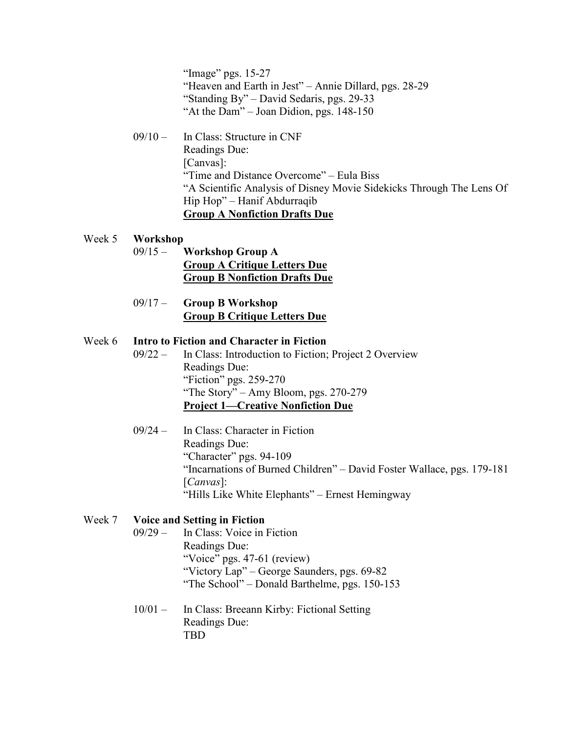"Image" pgs. 15-27 "Heaven and Earth in Jest" – Annie Dillard, pgs. 28-29 "Standing By" – David Sedaris, pgs. 29-33 "At the Dam" – Joan Didion, pgs. 148-150

09/10 – In Class: Structure in CNF Readings Due: [Canvas]: "Time and Distance Overcome" – Eula Biss "A Scientific Analysis of Disney Movie Sidekicks Through The Lens Of Hip Hop" – Hanif Abdurraqib **Group A Nonfiction Drafts Due**

#### Week 5 **Workshop**

- 09/15 **Workshop Group A Group A Critique Letters Due Group B Nonfiction Drafts Due**
- 09/17 **Group B Workshop Group B Critique Letters Due**

## Week 6 **Intro to Fiction and Character in Fiction**

- 09/22 In Class: Introduction to Fiction; Project 2 Overview Readings Due: "Fiction" pgs. 259-270 "The Story" – Amy Bloom, pgs. 270-279 **Project 1—Creative Nonfiction Due**
- 09/24 In Class: Character in Fiction Readings Due: "Character" pgs. 94-109 "Incarnations of Burned Children" – David Foster Wallace, pgs. 179-181 [*Canvas*]: "Hills Like White Elephants" – Ernest Hemingway

## Week 7 **Voice and Setting in Fiction**

- 09/29 In Class: Voice in Fiction Readings Due: "Voice" pgs. 47-61 (review) "Victory Lap" – George Saunders, pgs. 69-82 "The School" – Donald Barthelme, pgs. 150-153
- 10/01 In Class: Breeann Kirby: Fictional Setting Readings Due: TBD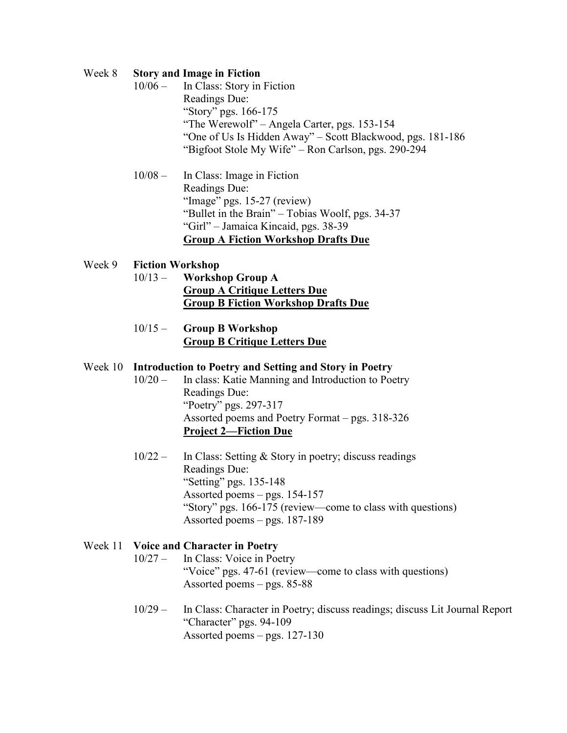#### Week 8 **Story and Image in Fiction**

- 10/06 In Class: Story in Fiction Readings Due: "Story" pgs. 166-175 "The Werewolf" – Angela Carter, pgs. 153-154 "One of Us Is Hidden Away" – Scott Blackwood, pgs. 181-186 "Bigfoot Stole My Wife" – Ron Carlson, pgs. 290-294
- 10/08 In Class: Image in Fiction Readings Due: "Image" pgs. 15-27 (review) "Bullet in the Brain" – Tobias Woolf, pgs. 34-37 "Girl" – Jamaica Kincaid, pgs. 38-39 **Group A Fiction Workshop Drafts Due**

## Week 9 **Fiction Workshop**

- 10/13 **Workshop Group A Group A Critique Letters Due Group B Fiction Workshop Drafts Due**
- 10/15 **Group B Workshop Group B Critique Letters Due**

#### Week 10 **Introduction to Poetry and Setting and Story in Poetry**

- 10/20 In class: Katie Manning and Introduction to Poetry Readings Due: "Poetry" pgs. 297-317 Assorted poems and Poetry Format – pgs. 318-326 **Project 2—Fiction Due**
- 10/22 In Class: Setting & Story in poetry; discuss readings Readings Due: "Setting" pgs. 135-148 Assorted poems – pgs. 154-157 "Story" pgs. 166-175 (review—come to class with questions) Assorted poems – pgs. 187-189

## Week 11 **Voice and Character in Poetry** 10/27 – In Class: Voice in Poetry "Voice" pgs. 47-61 (review—come to class with questions) Assorted poems – pgs. 85-88

10/29 – In Class: Character in Poetry; discuss readings; discuss Lit Journal Report "Character" pgs. 94-109 Assorted poems – pgs. 127-130